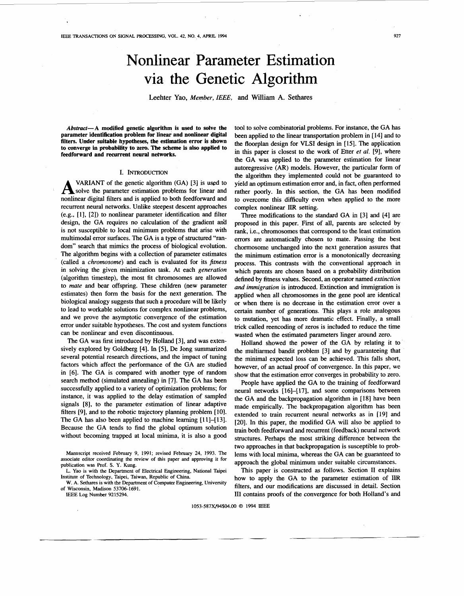# Nonlinear Parameter Estimation **via** the Genetic Algorithm

Leehter Yao, *Member,* IEEE, **and** William A. Sethares

*Abstract-A* **modified genetic algorithm is used to solve the parameter identification problem for linear and nonlinear digital filters. Under suitable hypotheses, the estimation error is shown to converge in probability to zero. The scheme is also applied to feedforward and recurrent neural networks.** 

## I. **INTRODUCTION**

**A** VARIANT of the genetic algorithm **(GA)** [3] is used to solve the parameter estimation problems for linear and nonlinear digital filters and is applied to both feedforward and recurrent neural networks. Unlike steepest descent approaches (e.g., **[l], [2])** to nonlinear parameter identification and filter design, the GA requires no calculation of the gradient and is not susceptible to local minimum problems that arise with multimodal error surfaces. The **GA** is a type of structured "random" search that mimics the process of biological evolution. The algorithm begins with a collection of parameter estimates (called a *chromosome)* and each is evaluated for its *fitness*  in solving the given minimization **task.** At each *generation*  (algorithm timestep), the most fit chromosomes are allowed to *mate* and bear offspring. These children (new parameter estimates) then form the basis for the next generation. The biological analogy suggests that such a procedure will be likely to lead to workable solutions for complex nonlinear problems, and we prove the asymptotic convergence of the estimation error under suitable hypotheses. The cost and system functions can be nonlinear and even discontinuous.

The **GA** was first introduced by Holland **[3],** and was extensively explored by Goldberg **[4].** In **[5], De** Jong summarized several potential research directions, and the impact of tuning factors which affect the performance of the **GA are** studied in **[6].** The **GA** is compared with another type of random search method (simulated annealing) in **[7].** The **GA** has been successfully applied to a variety of optimization problems; for instance, it was applied to the delay estimation of sampled signals **[8],** to the parameter estimation of linear adaptive filters **[9],** and to the robotic trajectory planning problem **[lo].**  The **GA** has also been applied to machine learning **[ill-[13].**  Because the **GA** tends to find the global optimum solution without becoming trapped at local minima, it is also a good

**Manuscript received February 9, 1991; revised February 24, 1993. The associate editor coordinating the review** of **this paper and approving it for publication was** Prof. **S. Y. Kung.** 

**L. Yao is with the Department of Electrical Engineering, National Taipei Institute of Technology, Taipei, Taiwan, Republic of China.** 

**W. A. Sethares is with the Department of Computer Engineering, University**  of **Wisconsin, Madison 53706-1691.** 

**IEEE Log Number 9215294.** 

tool to solve combinatorial problems. For instance, the **GA** has been applied to the linear transportation problem in [ **141** and to the floorplan design for VLSI design in **[15].** The application in **this** paper is closest to the work of Etter *et* al. **[9],** where the **GA** was applied to the parameter estimation for linear autoregressive **(AR)** models. However, the particular form of the algorithm they implemented could not be guaranteed to yield an optimum estimation error and, in fact, often performed rather poorly. In this section, the **GA** has been modified to overcome this difficulty even when applied to the more complex nonlinear IIR setting.

Three modifications to the standard **GA** in **[3]** and **[41** are proposed in this paper. First of all, parents **are** selected by **rank,** i.e., chromosomes that correspond to the least estimation errors are automatically chosen to mate. Passing the best chormosome unchanged into the next generation assures that the minimum estimation error is a monotonically decreasing process. This contrasts with the conventional approach in which parents are chosen based on a probability distribution defined by fitness values. Second, an operator named *extinction*  and *immigration* is introduced. Extinction and immigration is applied when all chromosomes in the gene pool are identical or when there is no decrease in the estimation error over a certain number of generations. This plays a role analogous to mutation, yet has more dramatic effect. Finally, a small trick called reencoding of zeros is included to reduce the time wasted when the estimated parameters linger around zero.

Holland showed the power of the **GA** by relating it to the multiarmed bandit problem **[3]** and by guaranteeing that the minimal expected loss can be achieved. This falls short, however, of an actual proof of convergence. In this paper, we show that the estimation error converges in probability to zero.

People have applied the **GA** to the training of feedforward neural networks [ **161-[ 171,** and some comparisons between the **GA** and the backpropagation algorithm in [ **181** have been made empirically. The backpropagation algorithm has been extended to train recurrent neural networks as in **[19]** and **[20].** In this paper, the modified **GA** will also be applied to train both feedforward and recurrent (feedback) neural network structures. Perhaps the most striking difference between the two approaches in that backpropagation is susceptible to problems with local minima, whereas the **GA** can be guaranteed to approach the global minimum under suitable circumstances.

This paper is constructed **as** follows. Section I1 explains how to apply the GA to the parameter estimation of IIR filters, and our modifications are discussed in detail. Section I11 contains proofs of the convergence for both Holland's and

**1053-587X/94\$04.00** Q **1994 IEEE**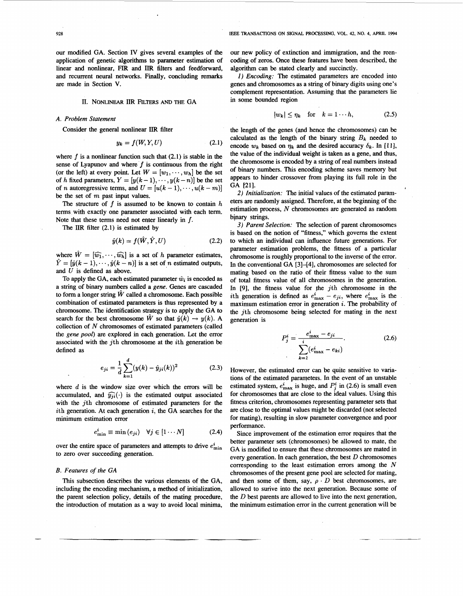our modified **GA.** Section IV gives several examples of the application of genetic algorithms to parameter estimation of linear and nonlinear, *mR* and **IIR** filters and feedforward, and recurrent neural networks. Finally, concluding remarks are made in Section V.

11. NONLINEAR IIR **FILTERS** *AND* THE **GA** 

## *A. Problem Statement*

Consider the general nonlinear **IIR** filter

$$
y_k = f(W, Y, U) \tag{2.1}
$$

where  $f$  is a nonlinear function such that  $(2.1)$  is stable in the sense of Lyapunov and where *f* is continuous from the right (or the left) at every point. Let  $W = [w_1, \dots, w_h]$  be the set of h fixed parameters,  $Y = [y(k-1), \dots, y(k-n)]$  be the set of *n* autoregressive terms, and  $U = [u(k-1), \dots, u(k-m)]$ be the set of *m* past input values.

The structure of  $f$  is assumed to be known to contain  $h$ terms with exactly one parameter associated with each term. Note that these terms need not enter linearly in *f.* 

The IIR filter **(2.1)** is estimated by

$$
\hat{y}(k) = f(\hat{W}, \hat{Y}, U) \tag{2.2}
$$

where  $\hat{W} = [\hat{w}_1, \dots, \hat{w}_h]$  is a set of h parameter estimates,  $\hat{Y} = [\hat{y}(k-1), \dots, \hat{y}(k-n)]$  is a set of *n* estimated outputs, and U is defined as above.

To apply the GA, each estimated parameter  $\hat{w}_i$  is encoded as a string of binary numbers called a *gene.* Genes are cascaded to form a longer string *W* called a chromosome. Each possible combination of estimated parameters is thus represented by a chromosome. The identification strategy is to apply the GA to search for the best chromosome  $\hat{W}$  so that  $\hat{y}(k) \rightarrow y(k)$ . A collection of *N* chromosomes of estimated parameters (called the gene pool) **are** explored in each generation. Let the error associated with the jth chromosome at the ith generation be defined as

$$
e_{ji} = \frac{1}{d} \sum_{k=1}^{d} (y(k) - \hat{y}_{ji}(k))^2
$$
 (2.3)

where  $d$  is the window size over which the errors will be accumulated, and  $\widehat{y_{ii}}(\cdot)$  is the estimated output associated with the jth chromosome of estimated parameters for the ith generation. At each generation i, the **GA** searches for the minimum estimation error

$$
e_{\min}^{i} \equiv \min (e_{ji}) \quad \forall j \in [1 \cdots N] \tag{2.4}
$$

over the entire space of parameters and attempts to drive  $e_{\min}^i$ to zero over succeeding generation.

## *B. Features of the GA*

This subsection describes the various elements of the **GA,**  including the encoding mechanism, a method of initialization, the parent selection policy, details of the mating procedure, the introduction of mutation as a way to avoid local minima,

our new policy of extinction and immigration, and the reencoding of zeros. Once these features have been described, the algorithm can be stated clearly and succinctly.

*1) Encoding:* The estimated parameters are encoded into genes and chromosomes as a string of binary digits using one's complement representation. Assuming that the parameters lie in some bounded region

$$
|w_k| \le \eta_k \quad \text{for} \quad k = 1 \cdots h,\tag{2.5}
$$

the length of the genes (and hence the chromosomes) can be calculated as the length of the binary string  $B_k$  needed to encode  $w_k$  based on  $\eta_k$  and the desired accuracy  $\delta_k$ . In [11], the value of the individual weight is taken as a gene, **and** thus, the chromosome is encoded by a string of real numbers instead of binary numbers. This encoding scheme saves memory but appears to hinder crossover from playing its full role in the **GA €211.** *<sup>I</sup>*

**2)** *Initialization:* The initial values of the estimated parameters are randomly assigned. Therefore, at the beginning of the estimation process, *N* chromosomes are generated as random binary strings.

3) *Parent Selection:* The selection of parent chromosomes is based on the notion of "fitness," which govems the extent to which an individual can influence future generations. For parameter estimation problems, the fitness of a particular chromosome is roughly proportional to the inverse of the error. In the conventional **GA [3]-[4],** chromosomes are selected for mating based on the ratio of their fitness value to the sum of total fitness value of all chromosomes in the generation. In **[9],** the fitness value for fhe jth chromosome in the ith generation is defined as  $e_{\text{max}}^i - e_{ji}$ , where  $e_{\text{max}}^i$  is the maximum estimation error in generation  $i$ . The probability of the jth chromosome being selected for mating in the next generation is

$$
P_j^i = \frac{e_{\text{max}}^i - e_{ji}}{\sum_{k=1}^i (e_{\text{max}}^i - e_{ki})}.
$$
 (2.6)

However, the estimated error can be quite sensitive to variations of the estimated parameters. In the event of an unstable estimated system,  $e_{\text{max}}^i$  is huge, and  $P_j^i$  in (2.6) is small even for chromosomes that are close to the ideal values. Using this fitness criterion, chromosomes representing parameter sets that are close to the optimal values might be discarded (not selected for mating), resulting in slow parameter convergence and poor performance.

Since improvement of the estimation error requires that the better parameter sets (chromosomes) be allowed to mate, the **GA** is modified to ensure that these chromosomes are mated in every generation. In each generation, the best *D* chromosomes corresponding to the least estimation errors among the *N*  chromosomes of the present gene pool are selected for mating, and then some of them, say,  $\rho \cdot D$  best chromosomes, are allowed to surive into the next generation. Because some of the *D* best parents are allowed to live into the next generation, the minimum estimation error in the current generation will be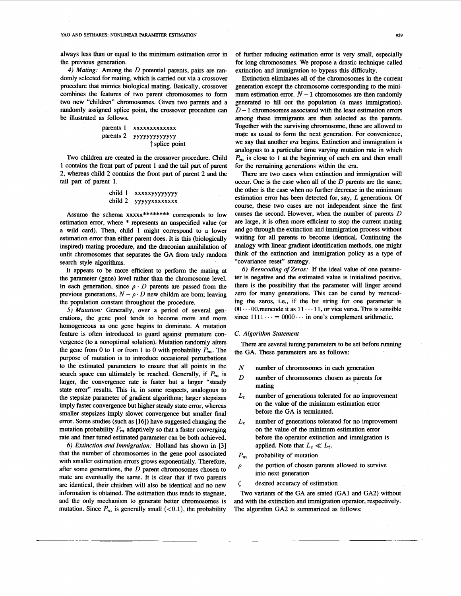always less than or equal to the minimum estimation error in the previous generation.

*4) Mating:* Among the *D* potential parents, pairs are randomly selected for mating, which is carried out via a crossover procedure that mimics biological mating. Basically, crossover combines the features of two parent chromosomes to form two new "children" chromosomes. Given two parents and a randomly assigned splice point, the crossover procedure can be illustrated **as** follows.

> parents **1** xxxxxxxxxxxxx parents 2 yyyyyyyyyyyy  $\uparrow$  splice point

Two children *are* created in the crossover procedure. Child 1 contains the front part of parent 1 and the tail part of parent 2, whereas child 2 contains the front part of parent 2 and the tail part of parent 1.

# child 1 xxxxxyyyyyyyy child 2 yyyyyxxxxxxxx

Assume the schema xxxxx\*\*\*\*\*\*\*\*\*\* corresponds to low estimation error, where \* represents an unspecified value (or a wild card). Then, child 1 might correspond to a lower estimation error than either parent does. It is this (biologically inspired) mating procedure, and the draconian annihilation of unfit chromosomes that separates the GA from truly random search style algorithms.

It appears to be more efficient to perform the mating at the parameter (gene) level rather than the chromosome level. In each generation, since  $\rho \cdot D$  parents are passed from the previous generations,  $N - \rho \cdot D$  new childrn are born; leaving the population constant throughout the procedure.

*5) Mutation:* Generally, over a period of several generations, the gene pool tends to become more and more homogeneous as one gene begins to dominate. A mutation feature is often introduced to guard against premature convergence (to a nonoptimal solution). Mutation randomly alters the gene from 0 to 1 or from 1 to 0 with probability  $P_m$ . The purpose of mutation is to introduce occasional perturbations to the estimated parameters to ensure that all points in the search space can ultimately be reached. Generally, if  $P_m$  is larger, the convergence rate is faster but a larger "steady state error" results. This is, in some respects, analogous to the stepsize parameter of gradient algorithms; larger stepsizes imply faster convergence but higher steady state error, whereas smaller stepsizes imply slower convergence but smaller final error. Some studies (such as [ 161) have suggested changing the mutation probability  $P_m$  adaptively so that a faster converging rate and finer tuned estimated parameter can be both achieved.

6) *Extinction and Immigration:* Holland has shown in [3] that the number of chromosomes in the gene pool associated with smaller estimation errors grows exponentially. Therefore, after some generations, the *D* parent chromosomes chosen to mate are eventually the same. It is clear that if two parents are identical, their children will also be identical and no new information is obtained. The estimation thus tends to stagnate, and the only mechanism to generate better chromosomes is mutation. Since  $P_m$  is generally small ( $\lt 0.1$ ), the probability of further reducing estimation error is very small, especially for long chromosomes. We propose a drastic technique called extinction and immigration to bypass this difficulty.

Extinction eliminates all of the chromosomes in the current generation except the chromosome corresponding to the minimum estimation error.  $N - 1$  chromosomes are then randomly generated to fill out the population (a mass immigration).  $D-1$  chromosomes associated with the least estimation errors among these immigrants are then selected as the parents. Together with the surviving chromosome, these are allowed to mate as usual to form the next generation. For convenience, we say that another *era* begins. Extinction and immigration is analogous to a particular time varying mutation rate in which  $P_m$  is close to 1 at the beginning of each era and then small for the remaining generations within the era.

There are two cases when extinction and immigration will occur. One is the case when all of the *D* parents are the same; the other is the case when no further decrease in the minimum estimation error has been detected for, say, L generations. Of course, these two cases are not independent since the first causes the second. However, when the number of parents D are large, it is often more efficient to stop the current mating and go through the extinction and immigration process without waiting for all parents to become identical. Continuing the analogy with linear gradient identification methods, one might *think* of the extinction and immigration policy as a type of "covariance reset" strategy.

6) *Reencoding ofZeros:* If the ideal value of one parameter is negative and the estimated value is initialized positive, there is the possibility that the parameter will linger around zero for many generations. **This** can be cured by reencoding the zeros, i.e., if the bit string for one parameter is  $00 \cdots 00$ , reencode it as  $11 \cdots 11$ , or vice versa. This is sensible since  $1111 \cdots = 0000 \cdots$  in one's complement arithmetic.

# *C. Algorithm Statement*

the GA. These parameters are as follows: There are several tuning parameters to be set before running

- *N*  number of chromosomes in each generation
- *D*  number of chromosomes chosen as parents for mating
- $L_t$ number *of* generations tolerated for no improvement on the value of the minimum estimation error before the GA is terminated.
- number of generations tolerated for no improvement on the value of the minimum estimation error before the operator extinction and immigration is applied. Note that  $L_e \ll L_t$ .  $L_e$
- *P<sub>m</sub>* probability of mutation
- the portion of chosen parents allowed to survive into next generation *p*
- *C* desired accuracy of estimation

Two variants of the GA are stated (GAl and GA2) without and with the extinction and immigration operator, respectively. The algorithm GA2 is summarized as follows: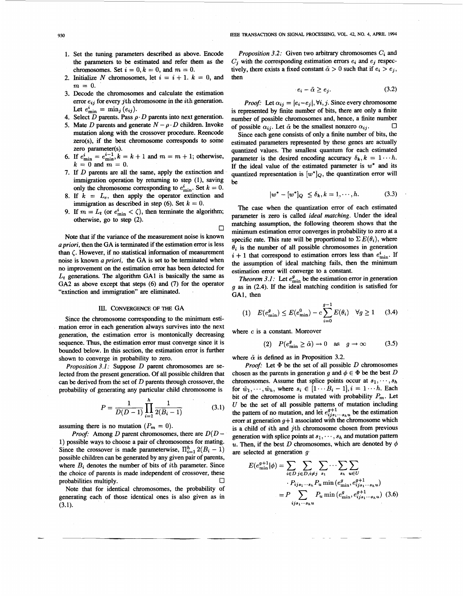- 1. Set the tuning parameters described as above. Encode the parameters to be estimated and refer them as the chromosomes. Set  $i = 0, k = 0$ , and  $m = 0$ .
- 2. Initialize *N* chromosomes, let  $i = i + 1$ .  $k = 0$ , and  $m = 0$ .
- **3.**  Decode the chromosomes and calculate the estimation error  $e_{ij}$  for every *j*th chromosome in the *i*th generation. Let  $e_{\min}^i = \min_j (e_{ij}).$
- 4. Select  $\overline{D}$  parents. Pass  $\rho \cdot D$  parents into next generation.
- **5.** Mate *D* parents. Pass  $\rho \cdot D$  parents into next generation.<br>**5.** Mate *D* parents and generate  $N \rho \cdot D$  children. Invoke mutation along with the crossover procedure. Reencode zero(s), if the best chromosome corresponds to some zero parameter(s).
- 6. If  $e_{\min}^i = e_{\min}^{i-1}$ ,  $k = k + 1$  and  $m = m + 1$ ; otherwise,  $k = 0$  and  $m = 0$ .
- **7.**  If *D* parents are all the same, apply the extinction and immigration operation by returning to step (1), saving only the chromosome corresponding to  $e_{\min}^i$ . Set  $k = 0$ .
- 8. If  $k = L_e$ , then apply the operator extinction and immigration as described in step (6). Set  $k = 0$ .
- 9. If  $m = L_t$  (or  $e_{\min}^i < \zeta$ ), then terminate the algorithm; otherwise, go to step **(2).**

Note that if the variance of the measurement noise is known *a priori*, then the GA is terminated if the estimation error is less than  $\zeta$ . However, if no statistical information of measurement noise is known a *priori,* the GA is set to be terminated when no improvement on the estimation error has been detected for  $L_t$  generations. The algorithm GA1 is basically the same as GA2 **as** above except that steps (6) **and** (7) for the operator "extinction and immigration" are eliminated.

# **111. CONVERGENCE OF** THE GA

Since the chromosome corresponding to the minimum estimation error in each generation always survives into the next generation, the estimation error is montonically decreasing sequence. Thus, the estimation error must converge since it is bounded below. In this section, the estimation error is further shown to converge in probability to zero.

*Proposition* 3.1: Suppose *D* parent chromosomes are selected from the present generation. Of all possible children that can be derived from the set of *D* parents through crossover, the probability of generating any particular child chromosome is

$$
P = \frac{1}{D(D-1)} \prod_{i=1}^{h} \frac{1}{2(B_i - 1)}
$$
(3.1)

assuming there is no mutation  $(P_m = 0)$ .

*Proof:* Among *D* parent chromosomes, there are  $D(D -$ 1) possible ways to choose a pair of chromosomes for mating. Since the crossover is made parameterwise,  $\Pi_{i=1}^{h} 2(B_i - 1)$ possible children can be generated by any given pair of parents, where *B<sub>i</sub>* denotes the number of bits of *i*th parameter. Since the choice of parents is made independent of crossover, these probabilities multiply. *0* 

Note that for identical chromosomes, the probability of generating each of those identical ones is also given as in **(3.1).** 

*Proposition 3.2:* Given two arbitrary chromosomes *C,* and  $C_i$  with the corresponding estimation errors  $e_i$  and  $e_j$  respectively, there exists a fixed constant  $\tilde{\alpha} > 0$  such that if  $e_i > e_j$ , then

$$
e_i - \tilde{\alpha} \ge e_j. \tag{3.2}
$$

*Proof:* Let  $\alpha_{ij} = |e_i - e_j|$ ,  $\forall i, j$ . Since every chromosome is represented by finite number of bits, there are only a finite number of possible chromosomes and, hence, a finite number *0*  of possible  $\alpha_{ij}$ . Let  $\tilde{\alpha}$  be the smallest nonzero  $\alpha_{ij}$ .

Since each gene consists of only a finite number of bits, the estimated parameters represented by these genes are actually quantized values. The smallest quantum for each estimated parameter is the desired encoding accuracy  $\delta_k$ ,  $k = 1 \cdots h$ . If the ideal value of the estimated parameter is  $w^*$  and its quantized representation is  $[w^*]_Q$ , the quantization error will be

$$
|w^* - [w^*]_Q \le \delta_k, k = 1, \cdots, h. \tag{3.3}
$$

The case when the quantization error of each estimated parameter is zero is called *ideal matching.* Under the ideal matching assumption, the following theorem shows that the minimum estimation error converges in probability to zero at a specific rate. This rate will be proportional to  $\Sigma E(\theta_i)$ , where  $\theta_i$  is the number of all possible chromosomes in generation  $i + 1$  that correspond to estimation errors less than  $e_{\min}^i$ . If the assumption of ideal matching fails, then the minimum estimation error will converge to a constant.

*Theorem 3.1:* Let  $e_{\min}^g$  be the estimation error in generation **g** as in **(2.4).** If the ideal matching condition is satisfied for GA1, then

(1) 
$$
E(e_{\min}^g) \le E(e_{\min}^0) - c \sum_{i=0}^{g-1} E(\theta_i) \quad \forall g \ge 1
$$
 (3.4)

where  $c$  is a constant. Moreover

*0* 

(2) 
$$
P(e_{\min}^g \ge \tilde{\alpha}) \to 0
$$
 as  $g \to \infty$  (3.5)

where  $\tilde{\alpha}$  is defined as in Proposition 3.2.

*Proof:* Let  $\Phi$  be the set of all possible *D* chromosomes chosen as the parents in generation g and  $\phi \in \Phi$  be the best D chromosomes. Assume that splice points occur at  $s_1, \dots, s_h$ for  $\hat{w}_1, \dots, \hat{w}_h$ , where  $s_i \in [1 \cdots B_i - 1], i = 1 \cdots h$ . Each bit of the chromosome is mutated with probability  $P_m$ . Let *U* be the set of all possible pattems of mutation including the pattern of no mutation, and let  $e_{ijs_1...s_hu}^{g+1}$  be the estimation erorr at generation **g+l** associated with the chromosome which is a child of ith and jth chromosome chosen from previous generation with splice points at  $s_1, \dots, s_h$  and mutation pattern *u*. Then, if the best *D* chromosomes, which are denoted by  $\phi$  are selected at generation *g* 

elected at generation 
$$
g
$$
  
\n
$$
E(e_{\min}^{g+1}|\phi) = \sum_{i \in D} \sum_{j \in D, i \neq j} \sum_{s_1} \cdots \sum_{s_h} \sum_{u \in U}
$$
\n
$$
\cdot P_{ijs_1 \cdots s_h} P_u \min(e_{\min}^g, e_{ijs_1 \cdots s_h u}^{g+1})
$$
\n
$$
= P \sum_{ijs_1 \cdots s_h u} P_u \min(e_{\min}^g, e_{ijs_1 \cdots s_h u}^{g+1}) \quad (3.6)
$$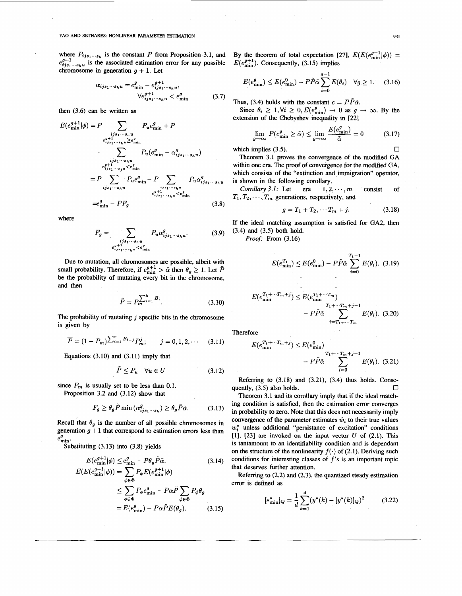#### **YAO AND SETHARES: NONLINEAR PARAMETER ESTIMATION 631 <b>PARAMETER** FOR AND SETHARES: NONLINEAR PARAMETER ESTIMATION

where  $P_{ijs_1...s_h}$  is the constant P from Proposition 3.1, and  $e_{ijs_1...s_hy_i}^{g+1}$  is the associated estimation error for any possible chromosome in generation  $q + 1$ . Let

$$
\alpha_{ijs_1\cdots s_hu} = e_{\min}^g - e_{jjs_1\cdots s_hu}^{g+1},
$$
  

$$
\forall e_{ijs_1\cdots s_hu}^{g+1} < e_{\min}^g
$$
 (3.7)

then **(3.6)** can be written as

$$
E(e_{\min}^{g+1}|\phi) = P \sum_{\substack{i_{j}s_{1}\cdots s_{h}u\\e_{i_{j}}^{g+1}\cdots e_{i_{1}}^{g+1}}} P_{u}e_{\min}^{g} + P
$$
  

$$
\sum_{\substack{i_{j}s_{1}\cdots s_{h}u\\e_{i_{j}}^{g+1}\cdots e_{j_{i}}^{g+1}}} P_{u}(e_{\min}^{g} - \alpha_{i_{j}s_{1}\cdots s_{h}u}^{g})
$$
  

$$
= P \sum_{\substack{i_{j}s_{1}\cdots s_{h}u\\i_{j}s_{1}\cdots s_{h}u}} P_{u}e_{\min}^{g} - P \sum_{\substack{i_{j}s_{1}\cdots s_{h}u\\e_{i_{j}}^{g+1}\cdots s_{h}u}} P_{u}\alpha_{i_{j}s_{1}\cdots s_{h}u}^{g}
$$
  

$$
= e_{\min}^{g} - PF_{g}
$$
 (3.8)

$$
F_g = \sum_{\substack{i j s_1 \cdots s_h u \\ e_{i j s_1 \cdots s_h u}^{\sigma+1} < e_{\min}^{\sigma} \end{math}} P_u \alpha_{i j s_1 \cdots s_h u}^g. \tag{3.9}
$$

Due to mutation, all chromosomes are possible, albeit with small probability. Therefore, if  $e_{\min}^{g+1} > \tilde{\alpha}$  then  $\theta_g \geq 1$ . Let  $\tilde{P}$ be the probability of mutating every bit in the chromosome, and then

$$
\tilde{P} = P_m^{\sum_{i=1}^{h} B_i}.
$$
\n(3.10)

The probability of mutating **j** specific bits in the chromosome is given by<br> $\overline{P} - (1 -$ 

$$
\overline{P} = (1 - P_m)^{\sum_{i=1}^{h} B_{i-j}} P_m^j; \qquad j = 0, 1, 2, \cdots \quad (3.11)
$$

Equations **(3.10)** and **(3.11)** imply that

$$
P \le P_u \quad \forall u \in U \tag{3.12}
$$

since  $P_m$  is usually set to be less than 0.1.

Proposition **3.2** and **(3.12)** show that

$$
F_g \ge \theta_g \tilde{P} \min(\alpha_{ijs_1\cdots s_h}^g) \ge \theta_g \tilde{P}\tilde{\alpha}.
$$
 (3.13)

Recall that  $\theta_q$  is the number of all possible chromosomes in generation  $g + 1$  that correspond to estimation errors less than  $e_{\min}^g$ .

Substituting **(3.13)** into **(3.8)** yields

$$
E(e_{\min}^{g+1}|\phi) \le e_{\min}^g - P\theta_g \tilde{P}\tilde{\alpha}.
$$
\n(3.14)  
\n
$$
E(E(e_{\min}^{g+1}|\phi)) = \sum_{\phi \in \Phi} P_{\phi} E(e_{\min}^{g+1}|\phi)
$$
\n
$$
\le \sum_{\phi \in \Phi} P_{\phi} e_{\min}^g - P\alpha \tilde{P} \sum_{\phi \in \Phi} P_{\phi} \theta_g
$$
\n
$$
= E(e_{\min}^g) - P\alpha \tilde{P} E(\theta_g).
$$
\n(3.15)

By the theorem of total expectation [27],  $E(E(e_{\text{min}}^{g+1}|\phi))$  =  $E(e_{\min}^{g+1})$ . Consequently, (3.15) implies

$$
E(e_{\min}^g) \le E(e_{\min}^0) - P\tilde{P}\tilde{\alpha} \sum_{i=0}^{g-1} E(\theta_i) \quad \forall g \ge 1. \tag{3.16}
$$

Thus, (3.4) holds with the constant  $c = P\tilde{P}\tilde{\alpha}$ .

extension of the Chebyshev inequality in **[22]**  Since  $\theta_i \geq 1, \forall i \geq 0, E(e_{\min}^g) \rightarrow 0$  as  $g \rightarrow \infty$ . By the

$$
\lim_{g \to \infty} P(e_{\min}^g \ge \tilde{\alpha}) \le \lim_{g \to \infty} \frac{E(e_{\min}^g)}{\tilde{\alpha}} = 0 \tag{3.17}
$$

which implies  $(3.5)$ .

Theorem **3.1** proves the convergence of the modified **GA**  within one era. The proof of convergence for the modified **GA,**  which consists of the "extinction and immigration" operator, is shown in the following corollary.

Corollary 3.1: Let era  $1, 2, \dots, m$  consist of  $T_1, T_2, \cdots, T_m$  generations, respectively, and

$$
= T_1 + T_2, \cdots T_m + j. \tag{3.18}
$$

where If the ideal matching assumption is satisfied for GA2, then **(3.4)** and **(3.5)** both hold.

Proof: From **(3.16)** 

 $\boldsymbol{g}$ 

$$
E(e_{\min}^{T_1}) \leq E(e_{\min}^0) - P\tilde{P}\tilde{\alpha} \sum_{i=0}^{T_1-1} E(\theta_i). \tag{3.19}
$$

$$
E(e_{\min}^{T_1+\cdots T_m+j}) \leq E(e_{\min}^{T_1+\cdots T_m})
$$
  

$$
-P\tilde{P}\tilde{\alpha} \sum_{i=T_1+\cdots T_m}^{T_1+\cdots T_m+j-1} E(\theta_i). \quad (3.20)
$$

**Therefore** 

$$
E(e_{\min}^{T_1+\cdots T_m+j}) \leq E(e_{\min}^0)
$$
  
-  $P\tilde{P}\tilde{\alpha}$   

$$
- P\tilde{P}\tilde{\alpha}
$$
  

$$
\sum_{i=0}^{T_1+\cdots T_m+j-1} E(\theta_i). (3.21)
$$

Referring to **(3.18)** and **(3.21), (3.4)** thus holds. Consequently,  $(3.5)$  also holds.  $\Box$ 

Theorem 3.1 and its corollary imply that if the ideal matching condition is satisfied, then the estimation error converges in probability to zero. Note that this does not necessarily imply convergence of the parameter estimates  $\hat{w}_i$  to their true values *w:* unless additional "persistance of excitation" conditions **[l], [23]** are invoked on the input vector *U* of **(2.1).** This is tantamount to an identifiability condition and is dependant on the structure of the nonlinearity  $f(\cdot)$  of (2.1). Deriving such conditions for interesting classes of **f's is** an important topic that deserves further attention.

Referring to **(2.2)** and **(2.3),** the quantized steady estimation error is defined as

$$
[e^*_{\min}]_Q = \frac{1}{d} \sum_{k=1}^d (y^*(k) - [y^*(k)]_Q)^2 \quad (3.22)
$$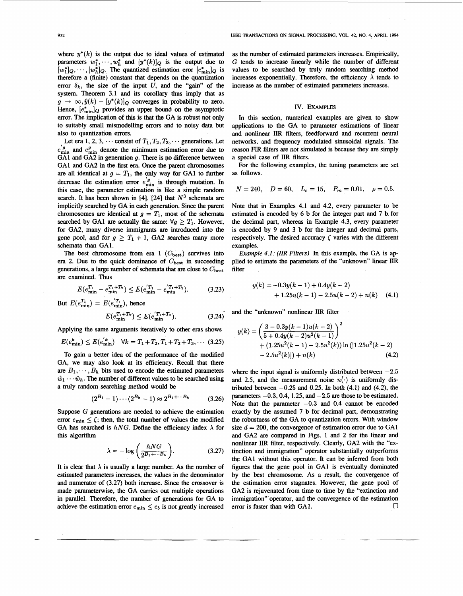<span id="page-5-0"></span>where  $y^*(k)$  is the output due to ideal values of estimated parameters  $w_1^*, \dots, w_h^*$  and  $[y^*(k)]_Q$  is the output due to  $[w_1^*]_Q, \dots, [w_h^*]_Q$ . The quantized estimation eror  $[e_{\min}^*]_Q$  is therefore a (finite) constant that depends on the quantization error  $\delta_k$ , the size of the input *U*, and the "gain" of the system. Theorem **3.1** and its corollary thus imply that as  $g \to \infty$ ,  $\hat{y}(k) - [y^*(k)]_Q$  converges in probability to zero. Hence,  $[e_{\min}^*]_Q$  provides an upper bound on the asymptotic error. The implication of this is that the **GA** is robust not only to suitably small mismodelling errors and to noisy data but also to quantization errors.

Let era 1, 2, 3,  $\cdots$  consist of  $T_1, T_2, T_3, \cdots$  generations. Let  $e_{\min}^{\prime}$  and  $e_{\min}^{g}$  denote the minimum estimation error due to **GAl** and **GA2** in generation *g.* There is no difference between **GA1** and **GA2** in the first era. Once the parent chromosomes are all identical at  $g = T_1$ , the only way for GA1 to further decrease the estimation error  $e_{\min}^{g}$  is through mutation. In this case, the parameter estimation is like a simple random search. It has been shown in **[4], [24]** that *N3* schemata are implicitly searched by **GA** in each generation. Since the parent chromosomes are identical at  $g = T_1$ , most of the schemata searched by GA1 are actually the same:  $\forall g \geq T_1$ . However, for **GA2,** many diverse immigrants **are** introduced into the gene pool, and for  $g \geq T_1 + 1$ , **GA2** searches many more schemata than **GA1.** 

The best chromosome from era  $1$   $(C_{best})$  survives into era 2. Due to the quick dominance of  $C_{\text{best}}$  in succeeding generations, a large number of schemata that are close to  $C_{\text{best}}$ are examined. Thus

$$
E(e_{\min}^{T_1} - e_{\min}^{T_1 + T_2}) \le E(e_{\min}^{'T_1} - e_{\min}^{'T_1 + T_2}).\tag{3.23}
$$

But 
$$
E(e_{\min}^{T_1}) = E(e_{\min}^{T_1})
$$
, hence  

$$
E(e_{\min}^{T_1+T_2}) \le E(e_{\min}^{T_1+T_2}).
$$
 (3.24)

Applying the same arguments iteratively to other eras shows

$$
E(e_{\min}^k) \le E(e_{\min}^{'k}) \quad \forall k = T_1 + T_2, T_1 + T_2 + T_3, \cdots \tag{3.25}
$$

To gain a better idea of the performance of the modified **GA,** we may also look at its efficiency. Recall that there are  $B_1, \dots, B_h$  bits used to encode the estimated parameters  $\hat{w}_1 \cdots \hat{w}_h$ . The number of different values to be searched using a truly random searching method would **be** 

$$
(2^{B_1} - 1) \cdots (2^{B_h} - 1) \approx 2^{B_1 + \cdots B_h} \tag{3.26}
$$

Suppose *G* generations are needed to achieve the estimation error  $e_{\min} \leq \zeta$ ; then, the total number of values the modified GA has searched is  $hNG$ . Define the efficiency index  $\lambda$  for this algorithm

$$
\lambda = -\log\left(\frac{hNG}{2^{B_1 + \cdots B_h}}\right). \tag{3.27}
$$

It is clear that  $\lambda$  is usually a large number. As the number of estimated parameters increases, the values in the denominator and numerator of **(3.27)** both increase. Since the crossover is made parameterwise, the **GA** carries out multiple operations in parallel. Therefore, the number of generations for **GA** to achieve the estimation error  $e_{\min} \leq e_b$  is not greatly increased as the number of estimated parameters increases. Empirically, G tends to increase linearly while the number of different values to be searched by truly random searching method increases exponentially. Therefore, the efficiency  $\lambda$  tends to increase as the number of estimated parameters increases.

## IV. EXAMPLES

In this section, numerical examples are given to show applications to the **GA** to parameter estimations of linear and nonlinear IIR filters, feedforward and recurrent neural networks, and frequency modulated sinusoidal signals. The reason FIR filters are not simulated is because they are simply a special case of IIR filters.

For the following examples, the tuning parameters are set as follows.

$$
N = 240
$$
,  $D = 60$ ,  $L_e = 15$ ,  $P_m = 0.01$ ,  $\rho = 0.5$ .

Note that in Examples **4.1** and **4.2,** every parameter to be estimated is encoded by 6 b for the integer part and **7** b for the decimal part, whereas in Example **4.3,** every parameter is encoded by 9 and **3** b for the integer and decimal parts, respectively. The desired accuracy  $\zeta$  varies with the different examples.

Example *4.1: (IIR* Filters) In this example, the **GA** is applied to estimate the parameters of the "unknown" linear IIR filter

$$
y(k) = -0.3y(k-1) + 0.4y(k-2)
$$
  
+ 1.25u(k-1) - 2.5u(k-2) + n(k) (4.1)

and the "unknown" nonlinear IIR filter

$$
y(k) = \left(\frac{3 - 0.3y(k - 1)u(k - 2)}{5 + 0.4y(k - 2)u^2(k - 1)}\right)^2
$$
  
+ (1.25u<sup>2</sup>(k - 1) - 2.5u<sup>2</sup>(k)) ln (1.25u<sup>2</sup>(k - 2)  
- 2.5u<sup>2</sup>(k)|) + n(k) (4.2)

where the input signal is uniformly distributed between  $-2.5$ and 2.5, and the measurement noise  $n(\cdot)$  is uniformly distributed between **-0.25** and **0.25.** In both **(4.1)** and **(4.2),** the parameters  $-0.3, 0.4, 1.25,$  and  $-2.5$  are those to be estimated. Note that the parameter  $-0.3$  and 0.4 cannot be encoded exactly by the assumed **7** b for decimal part, demonstrating the robustness of the **GA** to quantization errors. With window size  $d = 200$ , the convergence of estimation error due to GA1 and **GA2** are compared in [Figs.](#page-6-0) **1** and **2** for the linear and nonlinear IIR filter, respectively. Clearly, **GA2** with the "extinction and immigration" operator substantially outperforms the **GA1** without this operator. It can be inferred from both figures that the gene pool in **GAl** is eventually dominated by the best chromosome. **As** a result, the convergence of the estimation error stagnates. However, the gene pool of **GA2** is rejuvenated from time to time by the "extinction and immigration" operator, and the convergence of the estimation error is faster than with GA1.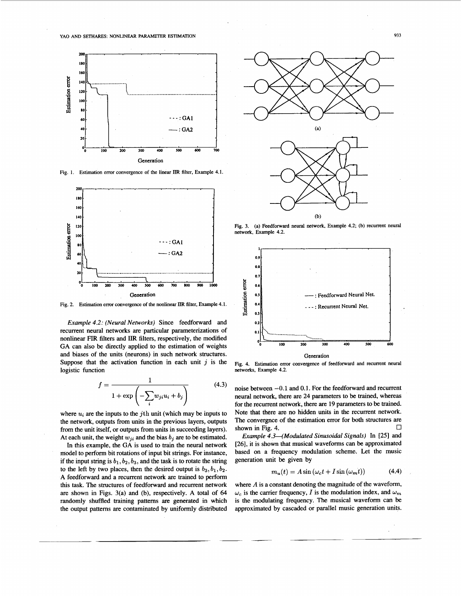<span id="page-6-0"></span>

**Fig. 1. Estimation error convergence of the linear IIR filter, [Example 4.1](#page-5-0).** 



**Fig. 2. Estimation error convergence of the nonlinear IIR filter, [Example 4.1.](#page-5-0)** 

*Example 4.2: (Neural Networks)* Since feedforward and recurrent neural networks are particular parameterizations of nonlinear **FIR** filters and IIR filters, respectively, the modified **GA** can also be directly applied to the estimation of weights and biases of the units (neurons) in such network structures. Suppose that the activation function in each unit  $j$  is the logistic function

$$
f = \frac{1}{1 + \exp\left(-\sum_{i} w_{ji} u_i + b_j\right)}
$$
(4.3)

where  $u_i$  are the inputs to the *j*th unit (which may be inputs to the network, outputs from units in the previous layers, outputs from the unit itself, or outputs from units in succeeding layers). At each unit, the weight  $w_{ji}$  and the bias  $b_j$  are to be estimated.

In this example, the **GA** is used to train the neural network model to perform bit rotations of input bit strings. For instance, if the input string is  $b_1, b_2, b_3$ , and the task is to rotate the string to the left by two places, then the desired output is  $b_3, b_1, b_2$ . **A** feedforward and a recurrent network are trained to perform this task. The structures of feedforward and recurrent network are shown in Figs. 3(a) and (b), respectively. A total of *64*  randomly shuffled training pattems **are** generated in which the output patterns are contaminated by uniformly distributed



**Fig. 3. (a) Feedforward neural network, Example 4.2; (b) recurrent neural network, Example 4.2.** 



**Generation** 

**Fig. 4. Estimation error convergence of feedforward and recurrent neural networks, Example 4.2.** 

noise between  $-0.1$  and 0.1. For the feedforward and recurrent neural network, there are 24 parameters to **be** trained, whereas for the recurrent network, there are 19 parameters to be trained. Note that there are no hidden units in the recurrent network. The convergnce of the estimation error for both structures are shown in Fig. 4.  $\Box$ 

*Example 4.34Modulated Sinusoidal Signals)* In [25] and **[26],** it is shown that musical waveforms can be approximated based on a frequency modulation scheme. Let the music generation unit be given by

$$
m_u(t) = A \sin \left(\omega_c t + I \sin \left(\omega_m t\right)\right) \tag{4.4}
$$

where A is a constant denoting the magnitude of the waveform,  $\omega_c$  is the carrier frequency, I is the modulation index, and  $\omega_m$ is the modulating frequency. The musical waveform can be approximated by cascaded or parallel music generation units.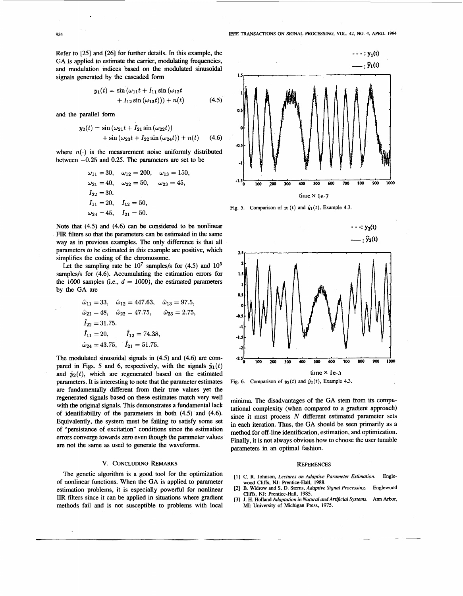Refer to **[25]** and **[26]** for further details. In this example, the GA is applied to estimate the carrier, modulating frequencies, and modulation indices based on the modulated sinusoidal signals generated by the cascaded form

$$
y_1(t) = \sin (\omega_{11}t + I_{11}\sin (\omega_{12}t + I_{12}\sin (\omega_{13}t))) + n(t)
$$
 (4.5)

and the parallel form

$$
y_2(t) = \sin (\omega_{21}t + I_{21}\sin (\omega_{22}t))
$$
  
+ 
$$
\sin (\omega_{23}t + I_{22}\sin (\omega_{24}t)) + n(t)
$$
 (4.6)

where  $n(\cdot)$  is the measurement noise uniformly distributed between **-0.25** and **0.25.** The parameters are set to be

$$
\omega_{11} = 30, \quad \omega_{12} = 200, \quad \omega_{13} = 150,
$$
  
\n
$$
\omega_{21} = 40, \quad \omega_{22} = 50, \quad \omega_{23} = 45,
$$
  
\n
$$
I_{22} = 30.
$$
  
\n
$$
I_{11} = 20, \quad I_{12} = 50,
$$
  
\n
$$
\omega_{24} = 45, \quad I_{23} = 50,
$$

Note that **(4.5)** and **(4.6)** can be considered to be nonlinear FIR filters so that the parameters can be estimated in the same way as in previous examples. The only difference is that all parameters to be estimated in this example are positive, which simplifies the coding of the chromosome.

Let the sampling rate be  $10^7$  samples/s for  $(4.5)$  and  $10^5$ samples/s for **(4.6).** Accumulating the estimation errors for the 1000 samples (i.e.,  $d = 1000$ ), the estimated parameters by the GA are

$$
\begin{aligned}\n\hat{\omega}_{11} &= 33, & \hat{\omega}_{12} &= 447.63, & \hat{\omega}_{13} &= 97.5, \\
\hat{\omega}_{21} &= 48, & \hat{\omega}_{22} &= 47.75, & \hat{\omega}_{23} &= 2.75, \\
\hat{I}_{22} &= 31.75. & \\
\hat{I}_{11} &= 20, & \hat{I}_{12} &= 74.38, \\
\hat{\omega}_{24} &= 43.75, & \hat{I}_{21} &= 51.75.\n\end{aligned}
$$

The modulated sinusoidal signals in **(4.5)** and **(4.6)** are compared in Figs. 5 and 6, respectively, with the signals  $\hat{y}_1(t)$ and  $\hat{y}_2(t)$ , which are regenerated based on the estimated parameters. It is interesting to note that the parameter estimates are fundamentally different from their true values yet the regenerated signals based on these estimates match very well with the original signals. This demonstrates a fundamental lack of identifiability of the parameters in both **(4.5)** and **(4.6).**  Equivalently, the system must be failing to satisfy some set of "persistance of excitation" conditions since the estimation errors converge towards zero even though the parameter values **are** not the same as used to generate the waveforms.

## **V. CONCLUDING REMARKS**

The genetic algorithm is a good tool for the optimization of nonlinear functions. When the GA is applied to parameter estimation problems, it is especially powerful for nonlinear IIR filters since it can be applied in situations where gradient methods fail and is not susceptible **to** problems with local



Fig. 5. Comparison of  $y_1(t)$  and  $\hat{y}_1(t)$ , Example 4.3.



minima. The disadvantages of the GA stem from its computational complexity (when compared to a gradient approach) since it must process *N* different estimated parameter sets in each iteration. Thus, the GA should be seen primarily as a method for off-line identification, estimation, and optimization. Finally, it is not always obvious how to choose the user tunable parameters in an optimal fashion.

#### **REFERENCES**

- **[l] C. R. Johnson,** *Lectures on Adaptive Parameter Estimation.*  **Englewood Cliffs, NJ: Prentice-Hall, 1988.**
- *[2]* **B. Widrow and S. D. Stems,** *Adaptive Signal Processing.*  **Englewood**  Cliffs, NJ: Prentice-Hall, 1985.
- **[3] J. H. Holland** *Adaptation in Natural and Artijcial Systems.*  **Ann Arbor, MI University of Michigan Press, 1975.**